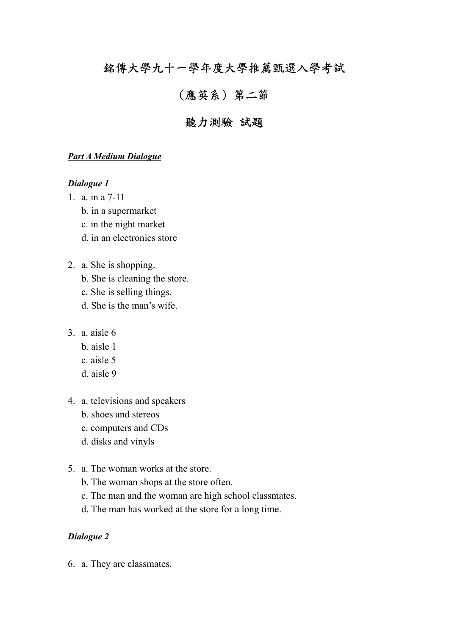# 銘傳大學九十一學年度大學推薦甄選入學考試

# (應英系) 第二節

# 聽力測驗 試題

### *Part A Medium Dialogue*

#### *Dialogue 1*

- 1. a. in a 7-11
	- b. in a supermarket
	- c. in the night market
	- d. in an electronics store
- 2. a. She is shopping.
	- b. She is cleaning the store.
	- c. She is selling things.
	- d. She is the man's wife.
- 3. a. aisle 6
	- b. aisle 1
	- c. aisle 5
	- d. aisle 9
- 4. a. televisions and speakers
	- b. shoes and stereos
	- c. computers and CDs
	- d. disks and vinyls
- 5. a. The woman works at the store.
	- b. The woman shops at the store often.
	- c. The man and the woman are high school classmates.
	- d. The man has worked at the store for a long time.

#### *Dialogue 2*

6. a. They are classmates.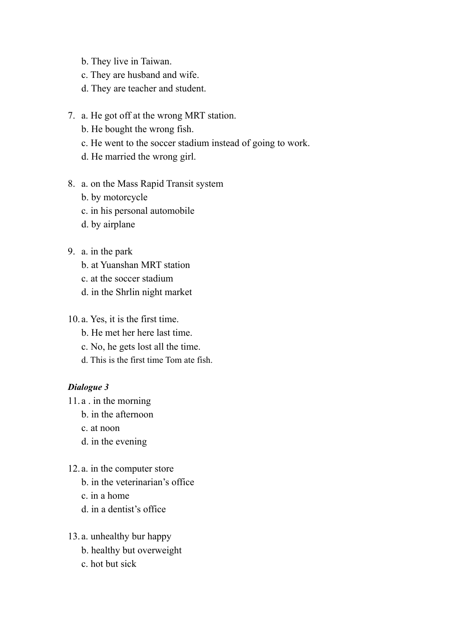- b. They live in Taiwan.
- c. They are husband and wife.
- d. They are teacher and student.
- 7. a. He got off at the wrong MRT station.
	- b. He bought the wrong fish.
	- c. He went to the soccer stadium instead of going to work.
	- d. He married the wrong girl.
- 8. a. on the Mass Rapid Transit system
	- b. by motorcycle
	- c. in his personal automobile
	- d. by airplane
- 9. a. in the park
	- b. at Yuanshan MRT station
	- c. at the soccer stadium
	- d. in the Shrlin night market

10. a. Yes, it is the first time.

- b. He met her here last time.
- c. No, he gets lost all the time.
- d. This is the first time Tom ate fish.

#### *Dialogue 3*

- 11. a . in the morning
	- b. in the afternoon
	- c. at noon
	- d. in the evening
- 12. a. in the computer store
	- b. in the veterinarian's office
	- c. in a home
	- d. in a dentist's office
- 13. a. unhealthy bur happy
	- b. healthy but overweight
	- c. hot but sick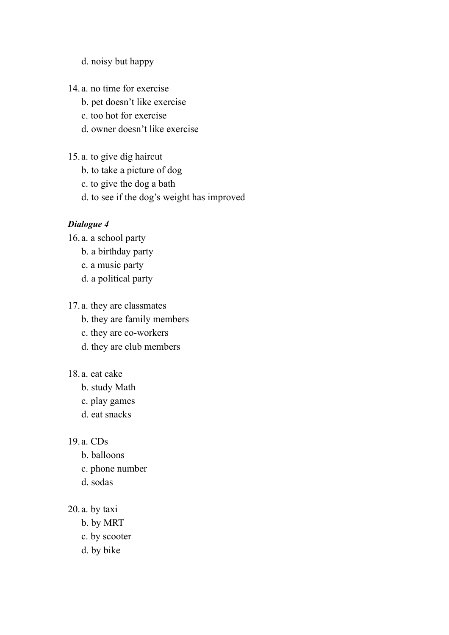# d. noisy but happy

- 14. a. no time for exercise
	- b. pet doesn't like exercise
	- c. too hot for exercise
	- d. owner doesn't like exercise
- 15. a. to give dig haircut
	- b. to take a picture of dog
	- c. to give the dog a bath
	- d. to see if the dog's weight has improved

# *Dialogue 4*

16. a. a school party

- b. a birthday party
- c. a music party
- d. a political party

17. a. they are classmates

- b. they are family members
- c. they are co-workers
- d. they are club members

#### 18. a. eat cake

- b. study Math
- c. play games
- d. eat snacks

#### 19. a. CDs

- b. balloons
- c. phone number
- d. sodas
- 20. a. by taxi
	- b. by MRT
	- c. by scooter
	- d. by bike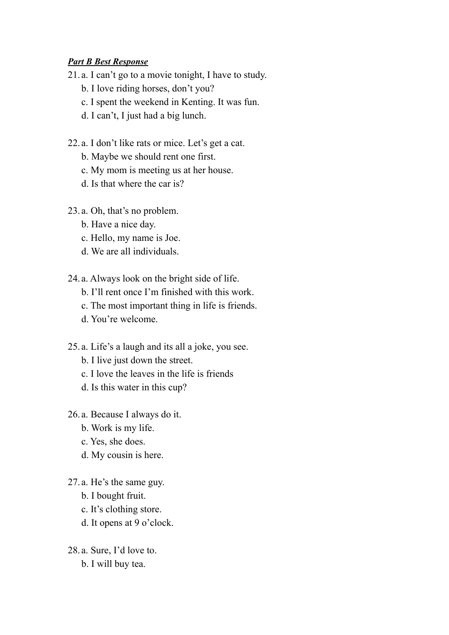# *Part B Best Response*

- 21. a. I can't go to a movie tonight, I have to study.
	- b. I love riding horses, don't you?
	- c. I spent the weekend in Kenting. It was fun.
	- d. I can't, I just had a big lunch.
- 22. a. I don't like rats or mice. Let's get a cat.
	- b. Maybe we should rent one first.
	- c. My mom is meeting us at her house.
	- d. Is that where the car is?
- 23. a. Oh, that's no problem.
	- b. Have a nice day.
	- c. Hello, my name is Joe.
	- d. We are all individuals.
- 24. a. Always look on the bright side of life.
	- b. I'll rent once I'm finished with this work.
	- c. The most important thing in life is friends.
	- d. You're welcome.
- 25. a. Life's a laugh and its all a joke, you see.
	- b. I live just down the street.
	- c. I love the leaves in the life is friends
	- d. Is this water in this cup?
- 26. a. Because I always do it.
	- b. Work is my life.
	- c. Yes, she does.
	- d. My cousin is here.
- 27. a. He's the same guy.
	- b. I bought fruit.
	- c. It's clothing store.
	- d. It opens at 9 o'clock.
- 28. a. Sure, I'd love to.
	- b. I will buy tea.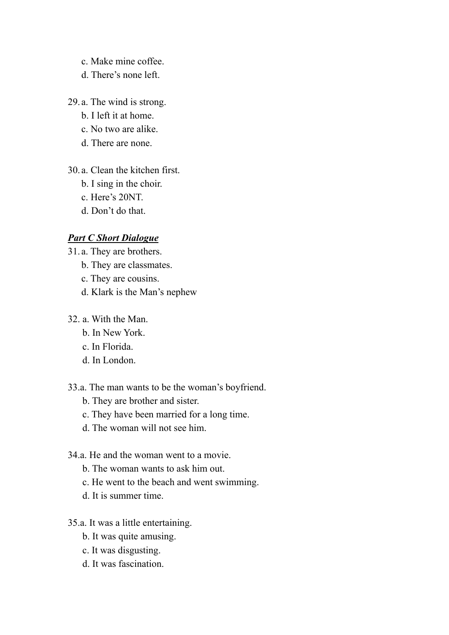- c. Make mine coffee.
- d. There's none left.
- 29. a. The wind is strong.
	- b. I left it at home.
	- c. No two are alike.
	- d. There are none.
- 30. a. Clean the kitchen first.
	- b. I sing in the choir.
	- c. Here's 20NT.
	- d. Don't do that.

#### *Part C Short Dialogue*

- 31. a. They are brothers.
	- b. They are classmates.
	- c. They are cousins.
	- d. Klark is the Man's nephew
- 32. a. With the Man.
	- b. In New York.
	- c. In Florida.
	- d. In London.
- 33.a. The man wants to be the woman's boyfriend.
	- b. They are brother and sister.
	- c. They have been married for a long time.
	- d. The woman will not see him.

# 34.a. He and the woman went to a movie.

- b. The woman wants to ask him out.
- c. He went to the beach and went swimming.
- d. It is summer time.
- 35.a. It was a little entertaining.
	- b. It was quite amusing.
	- c. It was disgusting.
	- d. It was fascination.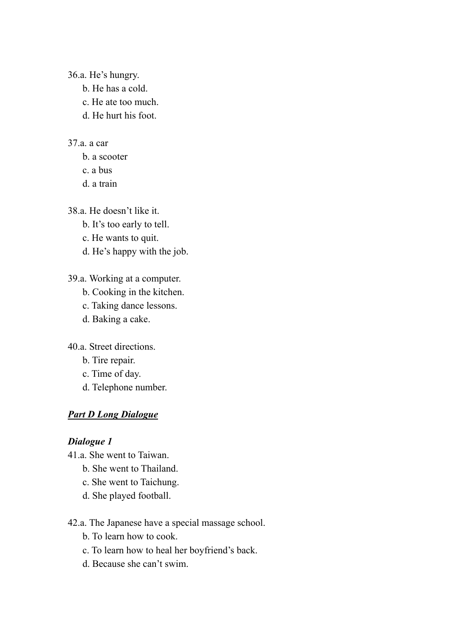36.a. He's hungry.

- b. He has a cold.
- c. He ate too much.
- d. He hurt his foot.

# 37.a. a car

- b. a scooter
- c. a bus
- d. a train

38.a. He doesn't like it.

- b. It's too early to tell.
- c. He wants to quit.
- d. He's happy with the job.

# 39.a. Working at a computer.

- b. Cooking in the kitchen.
- c. Taking dance lessons.
- d. Baking a cake.

40.a. Street directions.

- b. Tire repair.
- c. Time of day.
- d. Telephone number.

# *Part D Long Dialogue*

# *Dialogue 1*

- 41.a. She went to Taiwan.
	- b. She went to Thailand.
	- c. She went to Taichung.
	- d. She played football.

42.a. The Japanese have a special massage school.

- b. To learn how to cook.
- c. To learn how to heal her boyfriend's back.
- d. Because she can't swim.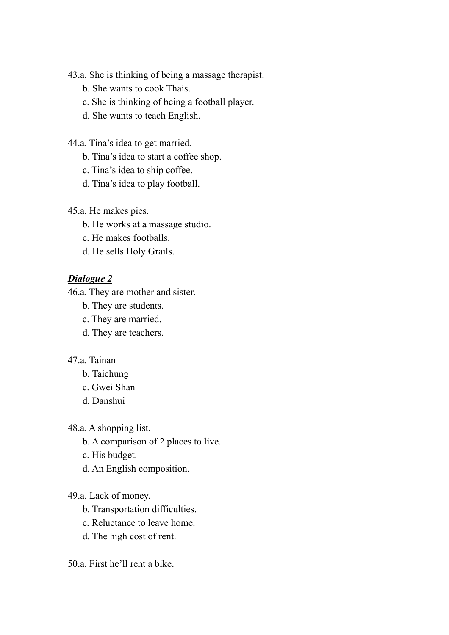43.a. She is thinking of being a massage therapist.

- b. She wants to cook Thais.
- c. She is thinking of being a football player.
- d. She wants to teach English.
- 44.a. Tina's idea to get married.
	- b. Tina's idea to start a coffee shop.
	- c. Tina's idea to ship coffee.
	- d. Tina's idea to play football.
- 45.a. He makes pies.
	- b. He works at a massage studio.
	- c. He makes footballs.
	- d. He sells Holy Grails.

# *Dialogue 2*

46.a. They are mother and sister.

- b. They are students.
- c. They are married.
- d. They are teachers.
- 47.a. Tainan
	- b. Taichung
	- c. Gwei Shan
	- d. Danshui

48.a. A shopping list.

- b. A comparison of 2 places to live.
- c. His budget.
- d. An English composition.

# 49.a. Lack of money.

- b. Transportation difficulties.
- c. Reluctance to leave home.
- d. The high cost of rent.

# 50.a. First he'll rent a bike.